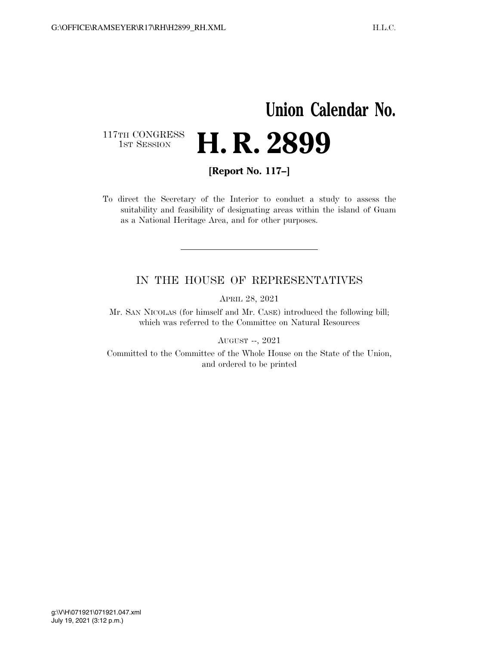## **Union Calendar No.**  117TH CONGRESS<br>1st Session H. R. 2899

**[Report No. 117–]** 

To direct the Secretary of the Interior to conduct a study to assess the suitability and feasibility of designating areas within the island of Guam as a National Heritage Area, and for other purposes.

## IN THE HOUSE OF REPRESENTATIVES

APRIL 28, 2021

Mr. SAN NICOLAS (for himself and Mr. CASE) introduced the following bill; which was referred to the Committee on Natural Resources

AUGUST --, 2021

Committed to the Committee of the Whole House on the State of the Union, and ordered to be printed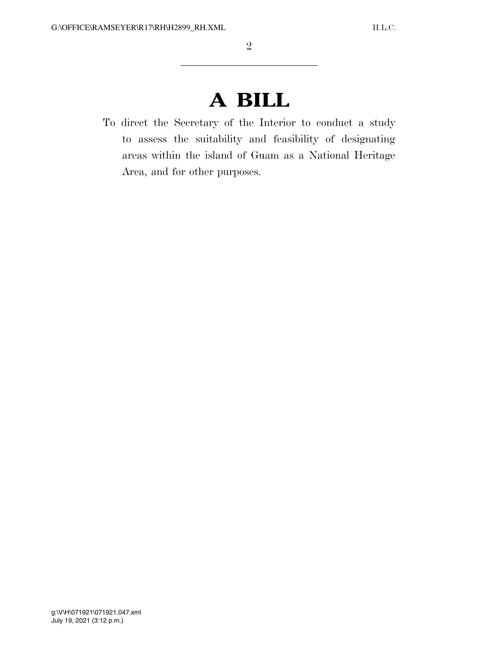## **A BILL**

To direct the Secretary of the Interior to conduct a study to assess the suitability and feasibility of designating areas within the island of Guam as a National Heritage Area, and for other purposes.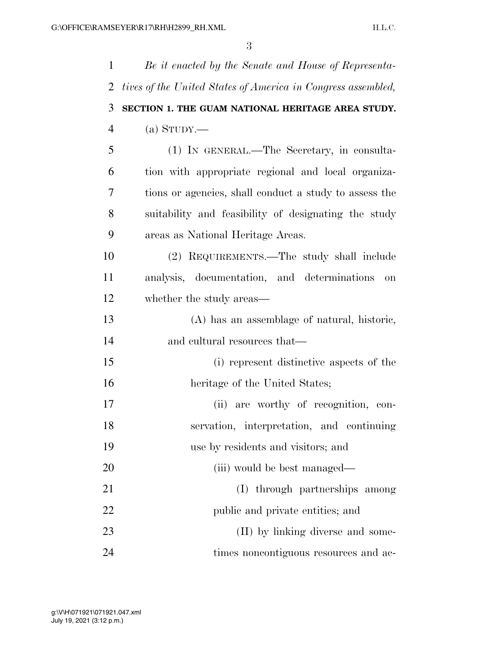| $\mathbf{1}$   | Be it enacted by the Senate and House of Representa-         |
|----------------|--------------------------------------------------------------|
| 2              | tives of the United States of America in Congress assembled, |
| 3              | SECTION 1. THE GUAM NATIONAL HERITAGE AREA STUDY.            |
| $\overline{4}$ | (a) $S_{TUDY}$ .                                             |
| 5              | (1) IN GENERAL.—The Secretary, in consulta-                  |
| 6              | tion with appropriate regional and local organiza-           |
| 7              | tions or agencies, shall conduct a study to assess the       |
| 8              | suitability and feasibility of designating the study         |
| 9              | areas as National Heritage Areas.                            |
| 10             | (2) REQUIREMENTS.—The study shall include                    |
| 11             | analysis, documentation, and determinations<br>on            |
| 12             | whether the study areas—                                     |
| 13             | (A) has an assemblage of natural, historic,                  |
| 14             | and cultural resources that—                                 |
| 15             | (i) represent distinctive aspects of the                     |
| 16             | heritage of the United States;                               |
| 17             | (ii) are worthy of recognition, con-                         |
| 18             | servation, interpretation, and continuing                    |
| 19             | use by residents and visitors; and                           |
| 20             | (iii) would be best managed—                                 |
| 21             | (I) through partnerships among                               |
| 22             | public and private entities; and                             |
| 23             | (II) by linking diverse and some-                            |
| 24             | times noncontiguous resources and ac-                        |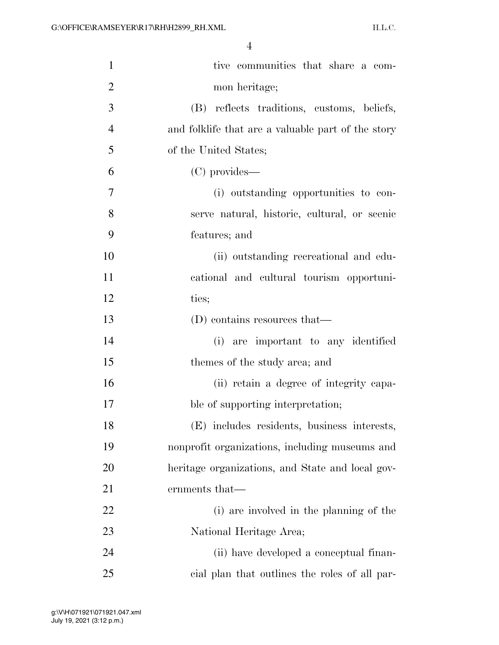| $\mathbf{1}$   | tive communities that share a com-                 |
|----------------|----------------------------------------------------|
| $\overline{2}$ | mon heritage;                                      |
| $\mathfrak{Z}$ | (B) reflects traditions, customs, beliefs,         |
| $\overline{4}$ | and folklife that are a valuable part of the story |
| 5              | of the United States;                              |
| 6              | (C) provides—                                      |
| 7              | (i) outstanding opportunities to con-              |
| 8              | serve natural, historic, cultural, or scenic       |
| 9              | features; and                                      |
| 10             | (ii) outstanding recreational and edu-             |
| 11             | cational and cultural tourism opportuni-           |
| 12             | ties;                                              |
| 13             | (D) contains resources that—                       |
| 14             | (i) are important to any identified                |
| 15             | themes of the study area; and                      |
| 16             | (ii) retain a degree of integrity capa-            |
| 17             | ble of supporting interpretation;                  |
| 18             | (E) includes residents, business interests,        |
| 19             | nonprofit organizations, including museums and     |
| 20             | heritage organizations, and State and local gov-   |
| 21             | ernments that—                                     |
| 22             | (i) are involved in the planning of the            |
| 23             | National Heritage Area;                            |
| 24             | (ii) have developed a conceptual finan-            |
| 25             | eial plan that outlines the roles of all par-      |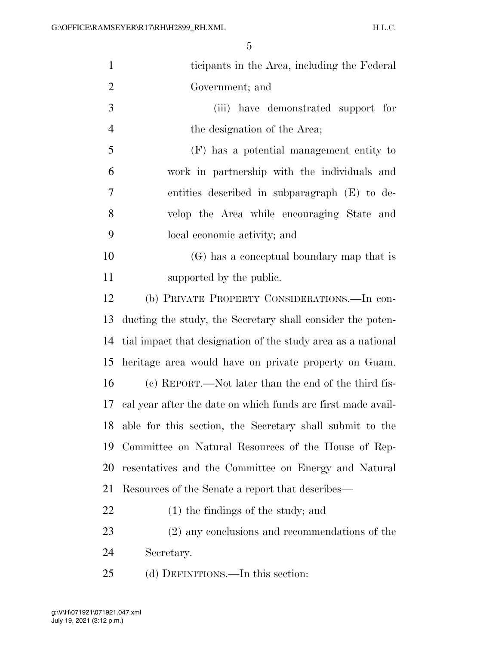| $\mathbf{1}$   | ticipants in the Area, including the Federal                 |
|----------------|--------------------------------------------------------------|
| $\overline{2}$ | Government; and                                              |
| 3              | (iii) have demonstrated support for                          |
| $\overline{4}$ | the designation of the Area;                                 |
| 5              | (F) has a potential management entity to                     |
| 6              | work in partnership with the individuals and                 |
| $\overline{7}$ | entities described in subparagraph (E) to de-                |
| 8              | velop the Area while encouraging State and                   |
| 9              | local economic activity; and                                 |
| 10             | (G) has a conceptual boundary map that is                    |
| 11             | supported by the public.                                     |
| 12             | (b) PRIVATE PROPERTY CONSIDERATIONS.—In con-                 |
| 13             | ducting the study, the Secretary shall consider the poten-   |
| 14             | tial impact that designation of the study area as a national |
| 15             | heritage area would have on private property on Guam.        |
| 16             | (c) REPORT.—Not later than the end of the third fis-         |
| 17             | cal year after the date on which funds are first made avail- |
| 18             | able for this section, the Secretary shall submit to the     |
| 19             | Committee on Natural Resources of the House of Rep-          |
| 20             | resentatives and the Committee on Energy and Natural         |
| 21             | Resources of the Senate a report that describes—             |
| 22             | $(1)$ the findings of the study; and                         |
| 23             | (2) any conclusions and recommendations of the               |
| 24             | Secretary.                                                   |
| 25             | (d) DEFINITIONS.—In this section:                            |